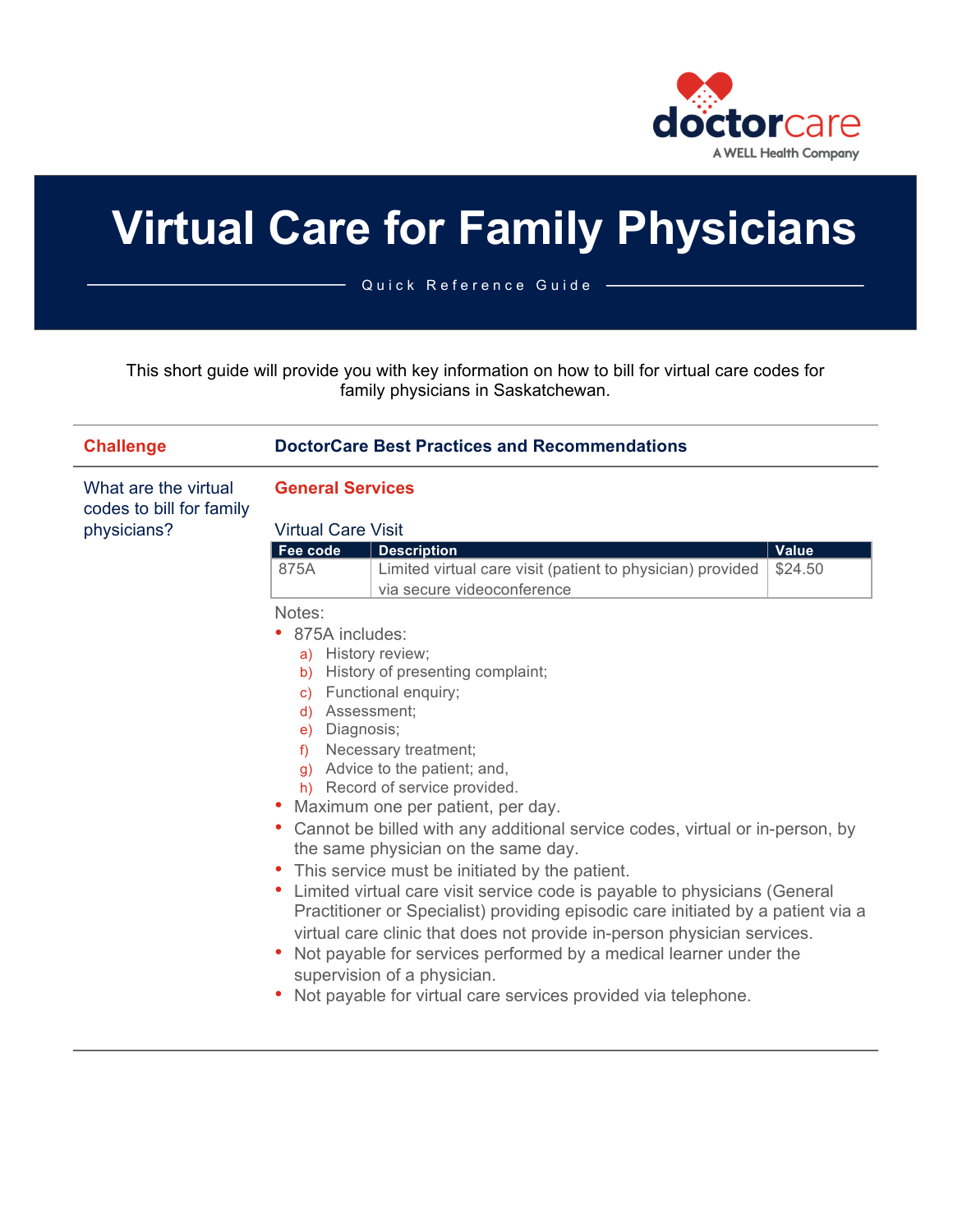

# **Virtual Care for Family Physicians**

Quick Reference Guide

This short guide will provide you with key information on how to bill for virtual care codes for family physicians in Saskatchewan.

| <b>Challenge</b>                        | <b>DoctorCare Best Practices and Recommendations</b>          |                                                                                                                                                                                                                                                                                                                                                                                                                                                                                                                                                                                                                                                                                                                                                                                                                           |         |  |
|-----------------------------------------|---------------------------------------------------------------|---------------------------------------------------------------------------------------------------------------------------------------------------------------------------------------------------------------------------------------------------------------------------------------------------------------------------------------------------------------------------------------------------------------------------------------------------------------------------------------------------------------------------------------------------------------------------------------------------------------------------------------------------------------------------------------------------------------------------------------------------------------------------------------------------------------------------|---------|--|
| What are the virtual                    | <b>General Services</b><br><b>Virtual Care Visit</b>          |                                                                                                                                                                                                                                                                                                                                                                                                                                                                                                                                                                                                                                                                                                                                                                                                                           |         |  |
|                                         |                                                               |                                                                                                                                                                                                                                                                                                                                                                                                                                                                                                                                                                                                                                                                                                                                                                                                                           |         |  |
|                                         | Fee code                                                      | <b>Description</b>                                                                                                                                                                                                                                                                                                                                                                                                                                                                                                                                                                                                                                                                                                                                                                                                        | Value   |  |
|                                         | 875A                                                          | Limited virtual care visit (patient to physician) provided<br>via secure videoconference                                                                                                                                                                                                                                                                                                                                                                                                                                                                                                                                                                                                                                                                                                                                  | \$24.50 |  |
| codes to bill for family<br>physicians? | Notes:<br>• 875A includes:<br>d) Assessment;<br>e) Diagnosis; | a) History review;<br>b) History of presenting complaint;<br>c) Functional enquiry;<br>f) Necessary treatment;<br>g) Advice to the patient; and,<br>h) Record of service provided.<br>• Maximum one per patient, per day.<br>• Cannot be billed with any additional service codes, virtual or in-person, by<br>the same physician on the same day.<br>• This service must be initiated by the patient.<br>• Limited virtual care visit service code is payable to physicians (General<br>Practitioner or Specialist) providing episodic care initiated by a patient via a<br>virtual care clinic that does not provide in-person physician services.<br>Not payable for services performed by a medical learner under the<br>supervision of a physician.<br>Not payable for virtual care services provided via telephone. |         |  |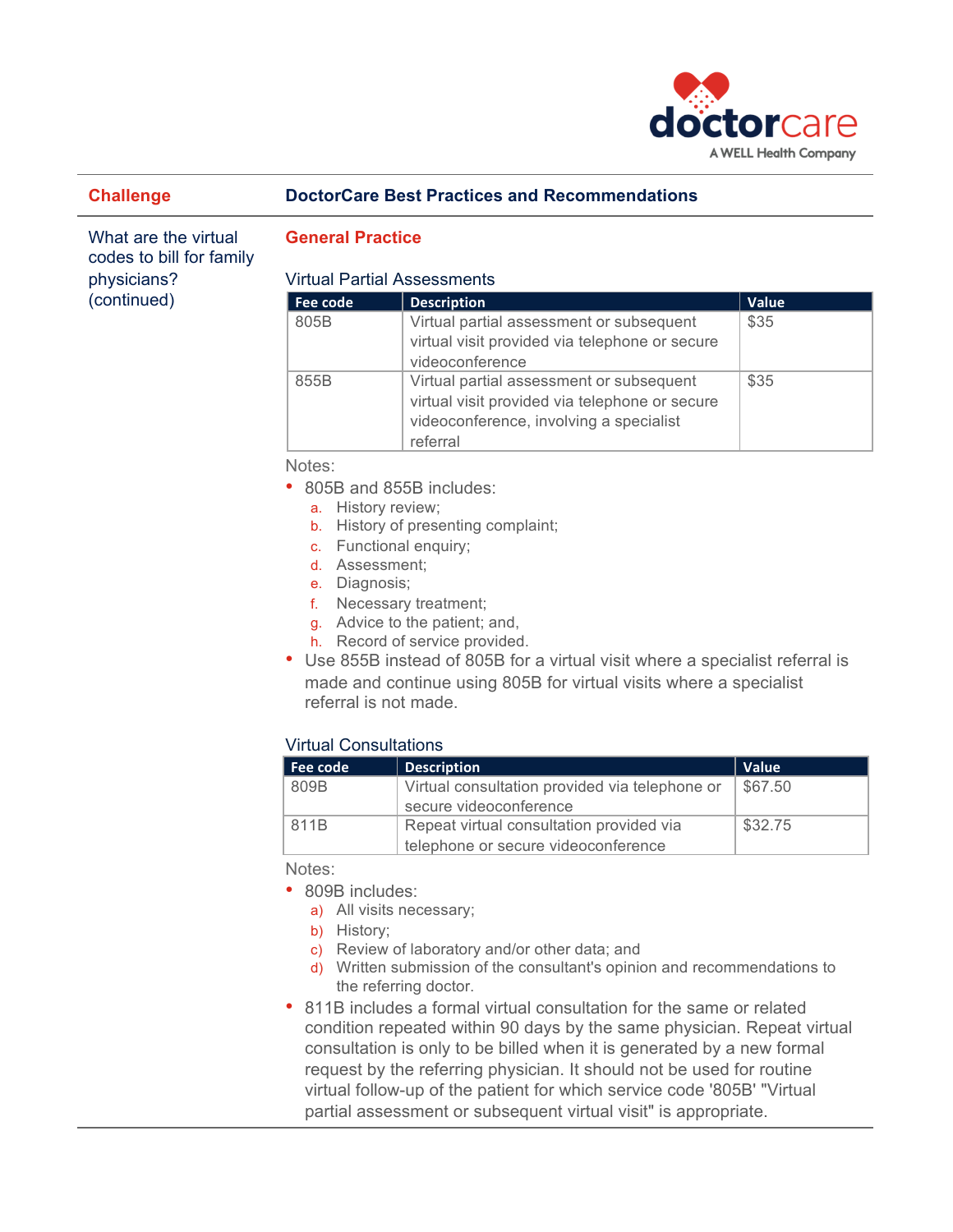

# **Challenge DoctorCare Best Practices and Recommendations**

What are the virtual codes to bill for family physicians? (continued)

# **General Practice**

## Virtual Partial Assessments

| Fee code | <b>Description</b>                                                                                                                                | Value |  |
|----------|---------------------------------------------------------------------------------------------------------------------------------------------------|-------|--|
| 805B     | Virtual partial assessment or subsequent<br>virtual visit provided via telephone or secure<br>videoconference                                     | \$35  |  |
| 855B     | Virtual partial assessment or subsequent<br>virtual visit provided via telephone or secure<br>videoconference, involving a specialist<br>referral | \$35  |  |

Notes:

- 805B and 855B includes:
	- a. History review;
	- b. History of presenting complaint;
	- c. Functional enquiry;
	- d. Assessment;
	- e. Diagnosis;
	- f. Necessary treatment;
	- g. Advice to the patient; and,
	- h. Record of service provided.
- Use 855B instead of 805B for a virtual visit where a specialist referral is made and continue using 805B for virtual visits where a specialist referral is not made.

# Virtual Consultations

| Fee code | <b>Description</b>                             | Value   |
|----------|------------------------------------------------|---------|
| 809B     | Virtual consultation provided via telephone or | \$67.50 |
|          | secure videoconference                         |         |
| 811B     | Repeat virtual consultation provided via       | \$32.75 |
|          | telephone or secure videoconference            |         |

Notes:

- 809B includes:
	- a) All visits necessary;
	- b) History;
	- c) Review of laboratory and/or other data; and
	- d) Written submission of the consultant's opinion and recommendations to the referring doctor.
- 811B includes a formal virtual consultation for the same or related condition repeated within 90 days by the same physician. Repeat virtual consultation is only to be billed when it is generated by a new formal request by the referring physician. It should not be used for routine virtual follow-up of the patient for which service code '805B' "Virtual partial assessment or subsequent virtual visit" is appropriate.